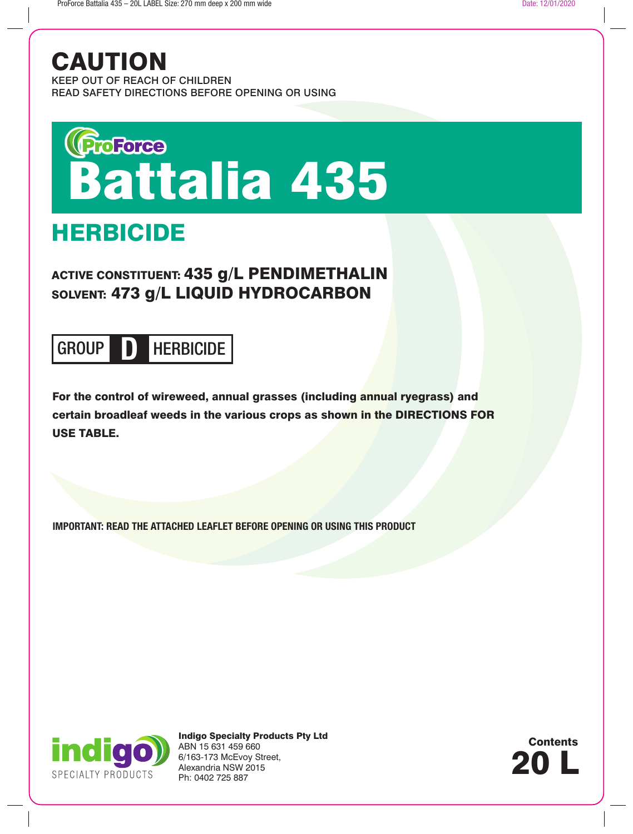## CAUTION

KEEP OUT OF REACH OF CHILDREN READ SAFETY DIRECTIONS BEFORE OPENING OR USING

# Groree<br>Battalia 435

## HERBICIDE

### ACTIVE CONSTITUENT: 435 g/L PENDIMETHALIN SOLVENT: 473 g/L LIQUID HYDROCARBON

## GROUP **D** HERBICIDE

For the control of wireweed, annual grasses (including annual ryegrass) and certain broadleaf weeds in the various crops as shown in the DIRECTIONS FOR USE TABLE.

**IMPORTANT: READ THE ATTACHED LEAFLET BEFORE OPENING OR USING THIS PRODUCT**



Indigo Specialty Products Pty Ltd ABN 15 631 459 660 6/163-173 McEvoy Street, Alexandria NSW 2015 Ph: 0402 725 887

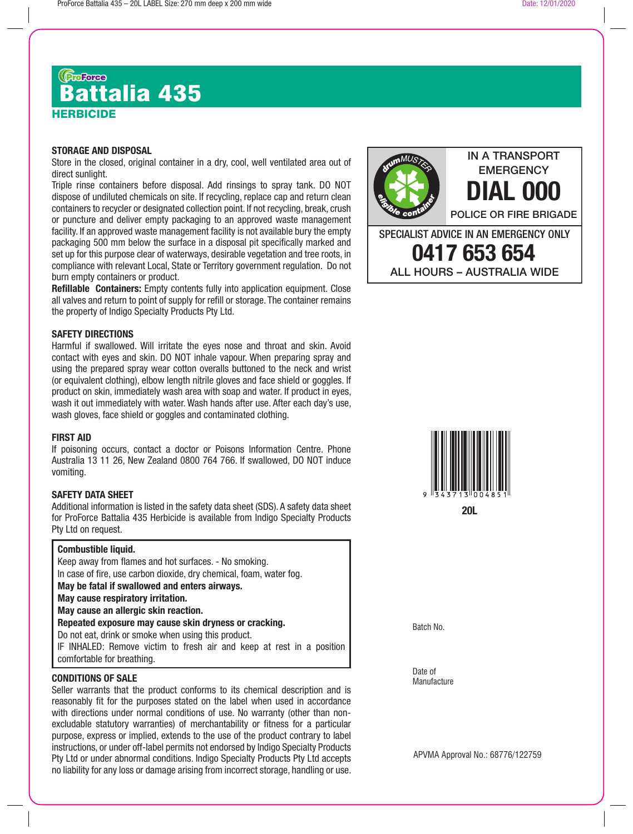## **HERBICIDE** ரு<sub>ண்ண</sub><br>Battalia 435

#### **STORAGE AND DISPOSAL**

Store in the closed, original container in a dry, cool, well ventilated area out of direct sunlight.

Triple rinse containers before disposal. Add rinsings to spray tank. DO NOT dispose of undiluted chemicals on site. If recycling, replace cap and return clean containers to recycler or designated collection point. If not recycling, break, crush or puncture and deliver empty packaging to an approved waste management facility. If an approved waste management facility is not available bury the empty packaging 500 mm below the surface in a disposal pit specifically marked and set up for this purpose clear of waterways, desirable vegetation and tree roots, in compliance with relevant Local, State or Territory government regulation. Do not burn empty containers or product.

**Refillable Containers:** Empty contents fully into application equipment. Close all valves and return to point of supply for refill or storage. The container remains the property of Indigo Specialty Products Pty Ltd.

#### **SAFETY DIRECTIONS**

Harmful if swallowed. Will irritate the eyes nose and throat and skin. Avoid contact with eyes and skin. DO NOT inhale vapour. When preparing spray and using the prepared spray wear cotton overalls buttoned to the neck and wrist (or equivalent clothing), elbow length nitrile gloves and face shield or goggles. If product on skin, immediately wash area with soap and water. If product in eyes, wash it out immediately with water. Wash hands after use. After each day's use, wash gloves, face shield or goggles and contaminated clothing.

#### **FIRST AID**

If poisoning occurs, contact a doctor or Poisons Information Centre. Phone Australia 13 11 26, New Zealand 0800 764 766. If swallowed, DO NOT induce vomiting.

#### **SAFETY DATA SHEET**

Additional information is listed in the safety data sheet (SDS). A safety data sheet for ProForce Battalia 435 Herbicide is available from Indigo Specialty Products Pty Ltd on request.

#### **Combustible liquid.**

Keep away from flames and hot surfaces. - No smoking. In case of fire, use carbon dioxide, dry chemical, foam, water fog. **May be fatal if swallowed and enters airways. May cause respiratory irritation. May cause an allergic skin reaction. Repeated exposure may cause skin dryness or cracking.** Do not eat, drink or smoke when using this product. IF INHALED: Remove victim to fresh air and keep at rest in a position

comfortable for breathing.

#### **CONDITIONS OF SALE**

Seller warrants that the product conforms to its chemical description and is reasonably fit for the purposes stated on the label when used in accordance with directions under normal conditions of use. No warranty (other than nonexcludable statutory warranties) of merchantability or fitness for a particular purpose, express or implied, extends to the use of the product contrary to label instructions, or under off-label permits not endorsed by Indigo Specialty Products Pty Ltd or under abnormal conditions. Indigo Specialty Products Pty Ltd accepts no liability for any loss or damage arising from incorrect storage, handling or use.



IN A TRANSPORT **EMERGENCY** 



Batch No.

Date of **Manufacture** 

APVMA Approval No.: 68776/122759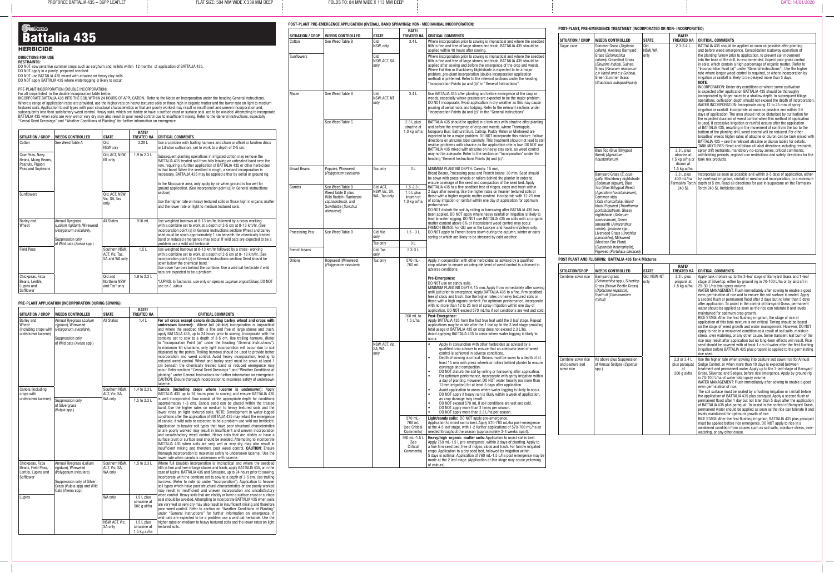$P$ ROFORCE BATTALIA 435 – 36PP LEAFLET  $\vdots$  FLAT SIZE: 504 MM WIDE X 339 MM DEEP  $\vdots$  FOLDS TO: 84 MM WIDE X 113 MM DEEP  $\vdots$   $\vdots$   $\vdots$   $\vdots$   $\vdots$   $\vdots$   $\vdots$   $\vdots$   $\vdots$   $\vdots$   $\vdots$   $\vdots$   $\vdots$   $\vdots$   $\vdots$   $\vdots$   $\$ 

## Grances<br>Battalia 435

**HERBICIDE** 

#### **DIRECTIONS FOR USE**

**RESTRAINTS:**<br>DO NOT sow sensitive summer crops such as sorghum and millets within 12 months of application of BATTALIA 435. DO NOT apply to a poorly prepared seedbed.

DO NOT use BATTALIA 435 mixed with atrazine on heavy clay soils. DO NOT apply BATTALIA 435 where waterlogging is likely to occur.

#### PRE-PLANT INCORPORATION (DOUBLE INCORPORATION):

For all crops listed in the double incorporation table below: INCORPORATE BATTALIA 435 INTO THE SOIL WITHIN 24 HOURS OF APPLICATION. Refer to the Notes on Incorporation under the heading General Instructions. Where a range of application rates are provided, use the higher rate on heavy textured soils or those high in organic matter and the lower rate on light to medium textured soils. Application to soil types with poor structural characteristics or that are poorly worked may result in insufficient and uneven incorporation and, subsequently less than satisfactory weed control. Heavy soils, which are cloddy or have a surface crust or surface seal, are to be avoided. Attempting to incorporate BATTALIA 435 when soils are very wet or very dry may also result in poor weed control due to insufficient mixing. Refer to the General Instructions, especially "Cereal Seed Dressings" and "Weather Conditions at Planting" for further information on emergence.

| <b>SITUATION / CROP</b>                                                      | <b>WEEDS CONTROLLED</b>                                                                                                         | <b>STATE</b>                                      | RATE/<br><b>TREATED HA</b> | <b>CRITICAL COMMENTS</b>                                                                                                                                                                                                                                                                                                                                                                                  |
|------------------------------------------------------------------------------|---------------------------------------------------------------------------------------------------------------------------------|---------------------------------------------------|----------------------------|-----------------------------------------------------------------------------------------------------------------------------------------------------------------------------------------------------------------------------------------------------------------------------------------------------------------------------------------------------------------------------------------------------------|
| Cotton                                                                       | See Weed Table A                                                                                                                | Old.<br>NSW only                                  | 2.28L                      | Use a combine with trailing harrows and chain or offset or tandem discs<br>or Lilliston cultivators, set to work to a depth of 2-5 cm.                                                                                                                                                                                                                                                                    |
| Cow Peas, Navy<br>Beans, Mung Beans,<br>Peanuts, Pigeon<br>Peas and Soybeans |                                                                                                                                 | Qld, ACT, NSW,<br>NT only                         | 1.9 to 2.3 L               | Subsequent planting operations in irrigated cotton may remove the<br>BATTALIA 435 treated soil from hills leaving an untreated band over the<br>row, requiring a further application of BATTALIA 435 or other herbicides<br>in that band. When the seedbed is rough, a second incorporation is<br>necessary. BATTALIA 435 may be applied either by aerial or ground rig.                                  |
| Sunflowers                                                                   |                                                                                                                                 | Qld, ACT, NSW,                                    |                            | In the Macquarie area, only apply by air when ground is too wet for<br>ground application. (See incorporation point (a) in General Instructions<br>section)                                                                                                                                                                                                                                               |
|                                                                              |                                                                                                                                 | Vic, SA, Tas<br>only                              |                            | Use the higher rate on heavy textured soils or those high in organic matter<br>and the lower rate on light to medium textured soils.                                                                                                                                                                                                                                                                      |
| Barley and<br>Wheat                                                          | <b>Annual Ryegrass</b><br>(Lolium rigidum), Wireweed<br>(Polygonum aviculare),<br>Suppression only<br>of Wild oats (Avena spp.) | <b>All States</b>                                 | 910 mL                     | Use weighted harrows at 8-13 km/hr, followed by a cross working<br>with a combine set to work at a depth of 2-5 cm at 8-13 km/hr. (See<br>incorporation point (a) in General Instructions section) Wheat and barley<br>seed must be sown approximately 1 cm beneath the chemically treated<br>band or reduced emergence may occur. If wild oats are expected to be a<br>problem use a wild oat herbicide. |
| <b>Field Peas</b>                                                            |                                                                                                                                 | Southern NSW,<br>ACT, Vic, Tas,<br>SA and WA only | 1.5L                       | Use weighted harrows at 8-13 km/hr followed by a cross-working<br>with a combine set to work at a depth of 2-5 cm at 8-13 km/hr. (See<br>incorporation point (a) in General Instructions section) Seed should be<br>sown below the chemical band.<br>Use cover harrows behind the combine. Use a wild oat herbicide if wild<br>oats are expected to be a problem.                                         |
| Chickpeas, Faba<br>Beans, Lentils,<br>Lupins and<br>Safflower                |                                                                                                                                 | Old and<br>Northern NSW<br>and Tas* only          | 1.9 to 2.3 L               | *LUPINS: In Tasmania, use only on species Lupinus angustifolius. DO NOT<br>use on <i>L. albus</i>                                                                                                                                                                                                                                                                                                         |

#### **PRE-PLANT APPLICATION (INCORPORATION DURING SOWING):**

|                                                                                                      |                                                                                                                                                          | <b>STATE</b>                              | RATE/                                       |                                                                                                                                                                                                                                                                                                                                                                                                                                                                                                                                                                                                                                                                                                                                                                                                                                                                                                                                                                                                                                                                                                                            |
|------------------------------------------------------------------------------------------------------|----------------------------------------------------------------------------------------------------------------------------------------------------------|-------------------------------------------|---------------------------------------------|----------------------------------------------------------------------------------------------------------------------------------------------------------------------------------------------------------------------------------------------------------------------------------------------------------------------------------------------------------------------------------------------------------------------------------------------------------------------------------------------------------------------------------------------------------------------------------------------------------------------------------------------------------------------------------------------------------------------------------------------------------------------------------------------------------------------------------------------------------------------------------------------------------------------------------------------------------------------------------------------------------------------------------------------------------------------------------------------------------------------------|
| <b>SITUATION / CROP</b><br><b>Barley</b> and<br>Wheat<br>(including crops with<br>undersown lucerne) | <b>WEEDS CONTROLLED</b><br>Annual Ryegrass (Lolium<br>rigidum), Wireweed<br>(Polygonum aviculare),<br>Suppression only<br>of Wild oats (Avena spp.)      | <b>All States</b>                         | <b>TREATED HA</b><br>1.4L                   | <b>CRITICAL COMMENTS</b><br>For all crops except canola (including barley, wheat and crops with<br><b>undersown lucerne):</b> Where full (double) incorporation is impractical<br>and where the seedbed tilth is fine and free of large stones and trash,<br>apply BATTALIA 435, up to 24 hours prior to sowing. Incorporate with the<br>combine set to sow to a depth of 3-5 cm. Use trailing harrows. (Refer<br>to "Incorporation Point (a)" under the heading "General Instructions").<br>In minimum till situations, only light incorporation will occur due to soil<br>displaced by the points. Trailing harrows should be used to provide better<br>incorporation and weed control. Avoid heavy incorporation, leading to<br>reduced weed control. Wheat and barley seed must be sown at least 1<br>cm beneath the chemically treated band or reduced emergence may<br>occur. Refer sections "Cereal Seed Dressings " and "Weather Conditions at<br>planting" under General Instructions for further information on emergence.<br>CAUTION: Ensure thorough incorporation to maximise safety of undersown<br>lucerne. |
| Canola (including<br>crops with                                                                      |                                                                                                                                                          | Southern NSW,<br>ACT, Vic, SA,            | 1.4 to 2.3 L                                | Canola (including crops where lucerne is undersown): Apply<br>BATTALIA 435 up to 24 hours prior to sowing and ensure BATTALIA 435                                                                                                                                                                                                                                                                                                                                                                                                                                                                                                                                                                                                                                                                                                                                                                                                                                                                                                                                                                                          |
| undersown lucerne)                                                                                   | Suppression only<br>of Silvergrass<br>(Vulpia spp.)                                                                                                      | WA only                                   | 1.5 to 2.3 L                                | is well incorporated. Sow canola at the appropriate depth for conditions<br>(approximately 1-3 cm). Canola seed can be placed within the treated<br>band. Use the higher rates on medium to heavy textured soils and the<br>lower rates on light textured soils. NOTE: Development in water-logged<br>conditions after the application of BATTALIA 435 may retard the emergence<br>of canola. If wild oats re expected to be a problem use wild oat herbicide.<br>Application to heavier soil types that have poor structural characteristics<br>or are poorly worked may result in insufficient and uneven incorporation<br>and unsatisfactory weed control. Heavy soils that are cloddy or have a<br>surface crust or surface seal should be avoided. Attempting to incorporate<br>BATTALIA 435 when soils are very wet or very dry may also result in<br>insufficient mixing and therefore poor weed control. CAUTION: Ensure<br>thorough incorporation to maximise safety to undersown lucerne. Use the<br>lower rate when canola is undersown with lucerne.                                                           |
| Chickpeas, Faba<br>Beans, Field Peas,<br>Lentils, Lupins and<br>Safflower                            | Annual Ryegrass (Lolium<br>rigidum), Wireweed<br>(Polygonum aviculare)<br>Suppression only of Silver<br>Grass (Vulpia spp) and Wild<br>Oats (Avena spp.) | Southern NSW,<br>ACT, Vic, SA,<br>WA only | 1.5 to 2.3 L                                | Where full (double) incorporation is impractical and where the seedbed<br>tilth is fine and free of large stones and trash, apply BATTALIA 435, or in the<br>case of lupins, BATTALIA 435 and Simazine, up to 24 hours prior to sowing.<br>Incorporate with the combine set to sow to a depth of 3-5 cm. Use trailing<br>harrows. (Refer to note (a) under "Incorporation"). Application to heavier<br>soil types which have poor structural characteristics or are poorly worked<br>may result in insufficient and uneven incorporation and unsatisfactory                                                                                                                                                                                                                                                                                                                                                                                                                                                                                                                                                                |
| Lupins                                                                                               |                                                                                                                                                          | WA only                                   | $1.5 L$ plus<br>simazine at<br>500 g ai/ha  | weed control. Heavy soils that are cloddy or have a surface crust or surface<br>seal should be avoided. Attempting to incorporate BATTALIA 435 when soils<br>are very wet or very dry may also result in insufficient mixing and therefore<br>poor weed control. Refer to section on "Weather Conditions at Planting"<br>under "General Instructions" for further information on emergence. If<br>wild oats are expected to be a problem use a wild oat herbicide. Use the                                                                                                                                                                                                                                                                                                                                                                                                                                                                                                                                                                                                                                                 |
|                                                                                                      |                                                                                                                                                          | NSW, ACT, Vic.<br>SA only                 | $1.5 L$ plus<br>simazine at<br>1.5 kg ai/ha | higher rates on medium to heavy textured soils and the lower rates on light<br>textured soils.                                                                                                                                                                                                                                                                                                                                                                                                                                                                                                                                                                                                                                                                                                                                                                                                                                                                                                                                                                                                                             |

|                            |                                                                                  |                                                           | <b>RATE/</b>                                                                                                                                                                                                                                                                                                                    |                                                                                                                                                                                                                                                                                                                                                                                                                                                                                                                                                                                                                                                                                                                                                                    |                              | POST-PLANT, PRE-EMERGENCE TREATMENT (INCORPORATED OR NON-INCORPORATED)                                                                                                   |                                             |                                                                                                                                                                                                                                                                                                                                                                                                                                                                   |                                                                                                                                                                                                                                                                                                                                                                                                                                                                                                                                                                                                                                                                                                                                                                                                                                                                                                        |
|----------------------------|----------------------------------------------------------------------------------|-----------------------------------------------------------|---------------------------------------------------------------------------------------------------------------------------------------------------------------------------------------------------------------------------------------------------------------------------------------------------------------------------------|--------------------------------------------------------------------------------------------------------------------------------------------------------------------------------------------------------------------------------------------------------------------------------------------------------------------------------------------------------------------------------------------------------------------------------------------------------------------------------------------------------------------------------------------------------------------------------------------------------------------------------------------------------------------------------------------------------------------------------------------------------------------|------------------------------|--------------------------------------------------------------------------------------------------------------------------------------------------------------------------|---------------------------------------------|-------------------------------------------------------------------------------------------------------------------------------------------------------------------------------------------------------------------------------------------------------------------------------------------------------------------------------------------------------------------------------------------------------------------------------------------------------------------|--------------------------------------------------------------------------------------------------------------------------------------------------------------------------------------------------------------------------------------------------------------------------------------------------------------------------------------------------------------------------------------------------------------------------------------------------------------------------------------------------------------------------------------------------------------------------------------------------------------------------------------------------------------------------------------------------------------------------------------------------------------------------------------------------------------------------------------------------------------------------------------------------------|
| SITUATION / CROP<br>Cotton | <b>WEEDS CONTROLLED</b><br>See Weed Table B                                      | <b>STATE</b><br>Qld.                                      | 3.4L                                                                                                                                                                                                                                                                                                                            | TREATED HA   CRITICAL COMMENTS<br>Where incorporation prior to sowing is impractical and where the seedbed                                                                                                                                                                                                                                                                                                                                                                                                                                                                                                                                                                                                                                                         | SITUATION / CROP             | <b>WEEDS CONTROLLED</b>                                                                                                                                                  | <b>STATE</b>                                | RATE/                                                                                                                                                                                                                                                                                                                                                                                                                                                             | TREATED HA CRITICAL COMMENTS                                                                                                                                                                                                                                                                                                                                                                                                                                                                                                                                                                                                                                                                                                                                                                                                                                                                           |
|                            |                                                                                  | NSW, only                                                 |                                                                                                                                                                                                                                                                                                                                 | tilth is fine and free of large stones and trash, BATTALIA 435 should be<br>applied within 48 hours after sowing.                                                                                                                                                                                                                                                                                                                                                                                                                                                                                                                                                                                                                                                  | Sugar cane                   | Summer Grass (Digitaria<br>cillaris), Awnless Barnyard<br>Grass (Echinochloa                                                                                             | Qld,<br>NSW, WA<br>only                     | $2.3 - 3.4 L$                                                                                                                                                                                                                                                                                                                                                                                                                                                     | BATTALIA 435 should be applied as soon as possible after planting<br>and before weed emergence. Consolidation (cutaway operation) of<br>the planting furrow prior to application, to prevent soil movement                                                                                                                                                                                                                                                                                                                                                                                                                                                                                                                                                                                                                                                                                             |
| <b>Sunflowers</b>          |                                                                                  | Qld.<br>NSW. ACT. SA<br>only                              |                                                                                                                                                                                                                                                                                                                                 | Where incorporation prior to sowing is impractical and where the seedbed<br>tilth is fine and free of large stones and trash, BATTALIA 435 should be<br>applied after sowing and before the emergence of the crop and weeds.<br>Where Fat Hen or Blackberry Nightshade is expected to be a major<br>problem, pre-plant incorporation (double incorporation application<br>method) is preferred. Refer to the relevant sections under the heading<br>"Incorporation Points (a) and (b)" in "General Instructions".                                                                                                                                                                                                                                                  |                              | colona), Crowsfoot Grass<br>(Eleusine indica), Guinea<br>Grass (Panicum maximum<br>c.v Hamil and c.v Guinea).<br><b>Green Summer Grass</b><br>(Brachiaria subquadripara) |                                             |                                                                                                                                                                                                                                                                                                                                                                                                                                                                   | into the base of the drill, is recommended. Expect poor grass control<br>in soils, which contain a high percentage of organic matter. (Refer to<br>"Incorporation Point (a)" under "General Instructions"). Use the higher<br>rate where longer weed control is required, or where incorporation by<br>irrigation or rainfall is likely to be delayed more than 5 days.<br>NOTE:<br>INCORPORATION: Under dry conditions or where some cultivation                                                                                                                                                                                                                                                                                                                                                                                                                                                      |
| Maize                      | See Weed Table B                                                                 | Qld.<br>NSW. ACT. NT<br>only                              | 3.4L                                                                                                                                                                                                                                                                                                                            | Use BATTALIA 435 after planting and before emergence of the crop or<br>weeds, especially where grasses are expected to be the major problem.<br>DO NOT incorporate. Avoid application in dry weather as this may cause<br>pruning of aerial roots and lodging. Refer to the relevant sections under<br>"Incorporation Points (b) and (c)" in the "General Instructions".                                                                                                                                                                                                                                                                                                                                                                                           |                              |                                                                                                                                                                          |                                             |                                                                                                                                                                                                                                                                                                                                                                                                                                                                   | is expected after application BATTALIA 435 should be thoroughly<br>incorporated by finger rakes to a shallow depth. In subsequent tillage<br>operations, cultivation depth should not exceed the depth of incorporation.<br>WATER INCORPORATION: Incorporate using 12 to 25 mm of spray<br>irrigation or rainfall. Incorporate as soon as possible and within 3-5<br>days of application. The area should not be disturbed by cultivation for<br>the expected duration of weed control when this method of application                                                                                                                                                                                                                                                                                                                                                                                 |
|                            | See Weed Table C                                                                 |                                                           | 2.3 L plus<br>atrazine at<br>1.0 kg ai/ha                                                                                                                                                                                                                                                                                       | BATTALIA 435 should be applied in a tank mix with atrazine after planting<br>and before the emergence of crop and weeds, where Thornapple,<br>Noogoora Burr, Bathurst Burr, Caltrop, Paddy Melon or Mintweed are<br>expected to be a major problem. DO NOT incorporate this mixture. Follow<br>directions on atrazine label carefully. This treatment should not lead to soil<br>residue problems with atrazine as the application rate is low. DO NOT use<br>BATTALIA 435 mixed with atrazine on heavy clay soils, as weed control                                                                                                                                                                                                                                |                              | <b>Blue Top (Blue Billygoat</b>                                                                                                                                          |                                             | $2.3 L$ plus                                                                                                                                                                                                                                                                                                                                                                                                                                                      | is used. If excessive irrigation or rainfall occurs after the application<br>of BATTALIA 435, resulting in the movement of soil from the top to the<br>bottom of the planting drill, weed control will be reduced. For other<br>broadleaf weeds higher rates of atrazine or diuron can be tank mixed with<br>BATTALIA 435 – see the relevant atrazine or diuron labels for details.<br>TANK MIXTURES: Read and follow all label directions including restraints.<br>spray drift restraints, mandatory no-spray zones, critical comments,                                                                                                                                                                                                                                                                                                                                                               |
|                            |                                                                                  |                                                           |                                                                                                                                                                                                                                                                                                                                 | may not be adequate. Refer to the section on "Incorporation" under the<br>heading "General Instructions Points (b) and (c)".                                                                                                                                                                                                                                                                                                                                                                                                                                                                                                                                                                                                                                       |                              | Weed) (Ageratum<br>houstonianum)                                                                                                                                         | atrazine at<br>1.5 kg ai/ha or<br>diuron at | withholding periods, regional use restrictions and safety directions for the<br>tank mix products.                                                                                                                                                                                                                                                                                                                                                                |                                                                                                                                                                                                                                                                                                                                                                                                                                                                                                                                                                                                                                                                                                                                                                                                                                                                                                        |
| <b>Broad Beans</b>         | Poppies, Wireweed<br>(Polygonum aviculare)                                       | Tas only                                                  | 3L                                                                                                                                                                                                                                                                                                                              | MINIMUM PLANTING DEPTH: Carrots: 15 mm.<br>Broad Beans, Processing peas and French beans: 30 mm. Seed should<br>be sown with press wheels or rollers behind the planter in order to<br>ensure coverage of the seed and compaction of the seed bed. Apply                                                                                                                                                                                                                                                                                                                                                                                                                                                                                                           |                              | Barnyard Grass (E. crus-<br>galli), Blackberry nightshade<br>(Solanum nigrum), Blue                                                                                      |                                             | 1.5 kg ai/ha<br>2.3 L plus<br>400 mL/ha<br><b>Farmalinx Torch</b>                                                                                                                                                                                                                                                                                                                                                                                                 | Incorporate as soon as possible and within 3-5 days of application, either<br>by overhead irrigation, rainfall or mechanical incorporation, to a minimum<br>depth of 5 cm. Read all directions for use in sugarcane on the Farmalinx                                                                                                                                                                                                                                                                                                                                                                                                                                                                                                                                                                                                                                                                   |
| Carrots                    | See Weed Table D<br>Weed Table D plus                                            | Qld, ACT,<br>NSW, Vic, SA,                                | $1.5 - 2.3$ L<br>$1.5 L$ plus                                                                                                                                                                                                                                                                                                   | BATTALIA 435 to a fine seedbed free of ridges, clods and trash within<br>2 days after sowing. Use the higher rates on heavier textured soils or                                                                                                                                                                                                                                                                                                                                                                                                                                                                                                                                                                                                                    |                              | Top (Blue Billygoat Weed)<br>(Ageratum houstonianum).                                                                                                                    |                                             | 240 SL                                                                                                                                                                                                                                                                                                                                                                                                                                                            | Torch 240 SL Herbicide label.                                                                                                                                                                                                                                                                                                                                                                                                                                                                                                                                                                                                                                                                                                                                                                                                                                                                          |
|                            | Wild Radish (Raphanus<br>raphanistrum), and<br>Sowthistle (Sonchus<br>oleraceus) | WA, Tas only                                              | linuron at<br>1.0 kg ai/ha                                                                                                                                                                                                                                                                                                      | those with a higher organic matter content. Incorporate with 12-25 mm<br>of spray irrigation or rainfall within one day of application for optimum<br>performance.<br>DO NOT disturb the soil by rolling or harrowing after BATTALIA 435 has<br>been applied. DO NOT apply where heavy rainfall or irrigation is likely to<br>lead to water logging. DO NOT use BATTALIA 435 on soils with an organic<br>matter content above 6% or inconsistent weed control may occur.                                                                                                                                                                                                                                                                                           |                              | Common sida<br>(Sida rhombifolia), Giant/<br>black Pigweed (Trianthema<br>portulacastrum), Glossy<br>nightshade (Solanum<br>americanum), Green<br>amaranth (Amaranthus   |                                             |                                                                                                                                                                                                                                                                                                                                                                                                                                                                   |                                                                                                                                                                                                                                                                                                                                                                                                                                                                                                                                                                                                                                                                                                                                                                                                                                                                                                        |
| Processing Pea             | See Weed Table D                                                                 | Qld, Vic<br>only                                          | $1.5 - 3L$                                                                                                                                                                                                                                                                                                                      | FRENCH BEANS: For QId use in the Lockyer and Fassifern Valleys only.<br>DO NOT apply to French beans sown during the autumn, winter or early<br>spring or which are likely to be stressed by cold weather.                                                                                                                                                                                                                                                                                                                                                                                                                                                                                                                                                         |                              | viridis), Ipomoea spp.<br>Liverseed Grass (Urochloa<br>panicoides), Milkweed                                                                                             |                                             |                                                                                                                                                                                                                                                                                                                                                                                                                                                                   |                                                                                                                                                                                                                                                                                                                                                                                                                                                                                                                                                                                                                                                                                                                                                                                                                                                                                                        |
|                            |                                                                                  | Tas only                                                  | 3 L                                                                                                                                                                                                                                                                                                                             |                                                                                                                                                                                                                                                                                                                                                                                                                                                                                                                                                                                                                                                                                                                                                                    |                              | (Mexican Fire Plant)<br>(Euphorbia heterophylla),                                                                                                                        |                                             |                                                                                                                                                                                                                                                                                                                                                                                                                                                                   |                                                                                                                                                                                                                                                                                                                                                                                                                                                                                                                                                                                                                                                                                                                                                                                                                                                                                                        |
| French beans               |                                                                                  | Qld. Tas<br>only                                          | $2.3 - 3L$                                                                                                                                                                                                                                                                                                                      |                                                                                                                                                                                                                                                                                                                                                                                                                                                                                                                                                                                                                                                                                                                                                                    |                              | Piqweed (Portulaca oleracea)                                                                                                                                             |                                             |                                                                                                                                                                                                                                                                                                                                                                                                                                                                   |                                                                                                                                                                                                                                                                                                                                                                                                                                                                                                                                                                                                                                                                                                                                                                                                                                                                                                        |
| Onions                     | Hoaweed (Wireweed)                                                               | Tas only                                                  | 570 mL-                                                                                                                                                                                                                                                                                                                         | Apply in conjunction with other herbicides as advised by a qualified                                                                                                                                                                                                                                                                                                                                                                                                                                                                                                                                                                                                                                                                                               |                              | POST PLANT AND FLUSHING: BATTALIA 435 Tank Mixtures                                                                                                                      |                                             |                                                                                                                                                                                                                                                                                                                                                                                                                                                                   |                                                                                                                                                                                                                                                                                                                                                                                                                                                                                                                                                                                                                                                                                                                                                                                                                                                                                                        |
|                            | (Polygonum aviculare)                                                            |                                                           | 760 mL                                                                                                                                                                                                                                                                                                                          | crop adviser to ensure an adequate level of weed control is achieved in<br>adverse conditions.                                                                                                                                                                                                                                                                                                                                                                                                                                                                                                                                                                                                                                                                     | SITUATION/CROP               | <b>WEEDS CONTROLLED</b>                                                                                                                                                  | <b>STATE</b>                                | <b>RATE/</b>                                                                                                                                                                                                                                                                                                                                                                                                                                                      | TREATED HA   CRITICAL COMMENTS                                                                                                                                                                                                                                                                                                                                                                                                                                                                                                                                                                                                                                                                                                                                                                                                                                                                         |
|                            |                                                                                  |                                                           |                                                                                                                                                                                                                                                                                                                                 | Pre-Emergence:<br>DO NOT use on sandy soils.<br>MINIMUM PLANTING DEPTH: 15 mm. Apply from immediately after sowing<br>until just prior to emergence. Apply BATTALIA 435 to a fine, firm seedbed<br>free of clods and trash. Use the higher rates on heavy textured soils or<br>those with a high organic content. For optimum performance, incorporate<br>with no more than 12 to 25 mm of spray irrigation within one day of<br>application. DO NOT exceed 570 mL/ha if soil conditions are wet and cold.                                                                                                                                                                                                                                                         | Combine sown rice            | Barnyard grass<br>( <i>Echinochloa</i> spp.), Silvertop   only<br>Grass (Brown Beetle Grass)<br>(Diplachne reptatrix),<br>Starfruit (Damasonium<br><i>minus</i> )        | Qld, NSW, NT                                | $2.3 L$ plus<br>propanil at<br>1.8 kg ai/ha                                                                                                                                                                                                                                                                                                                                                                                                                       | Apply tank mixture up to the 2-leaf stage of Barnyard Grass and 1-leaf<br>stage of Silvertop, either by ground rig in 70-100 L/ha or by aircraft in<br>25-30 L/ha total spray volume.<br>WATER MANAGEMENT: Flush immediately after sowing to enable a good<br>even germination of rice and to ensure the soil surface is sealed. Apply<br>a second flush or permanent flood after 2 days but no later than 5 days<br>after application. To assist in the control of Barnyard Grass, permanent<br>water should be applied as soon as the rice can tolerate it and levels<br>maintained for optimum crop growth.                                                                                                                                                                                                                                                                                         |
|                            |                                                                                  | 760 mL to<br>1.5 L/ha<br>NSW, ACT, Vic.<br>SA, WA<br>only | Post-Emergence:<br>Apply BATTALIA 435 from the first true leaf until the 3 leaf stage. Repeat<br>applications may be made after the 1 leaf up to the 3 leaf stage providing<br>total usage of BATTALIA 435 on crop does not exceed 2.3 L/ha.<br>Avoid applying BATTALIA 435 to areas where water logging is likely to<br>occur. |                                                                                                                                                                                                                                                                                                                                                                                                                                                                                                                                                                                                                                                                                                                                                                    |                              |                                                                                                                                                                          |                                             | RICE STAGE: After the first flushing irrigation, the stage of rice at<br>application of this tank mixture is not critical. Timing should be based<br>on the stage of weed growth and water management. However, DO NOT<br>apply to rice in a weakened condition as a result of soil salts, moisture<br>stress, over watering, or any other cause. Some transient leaf burn of the<br>rice may result after application but no long-term effects will result. Rice |                                                                                                                                                                                                                                                                                                                                                                                                                                                                                                                                                                                                                                                                                                                                                                                                                                                                                                        |
|                            |                                                                                  |                                                           |                                                                                                                                                                                                                                                                                                                                 | Apply in conjunction with other herbicides as advised by a<br>qualified crop adviser to ensure that an adequate level of weed<br>control is achieved in adverse conditions.<br>Depth of sowing is critical. Onions must be sown to a depth of at                                                                                                                                                                                                                                                                                                                                                                                                                                                                                                                   | Combine sown rice            | As above plus Suppression                                                                                                                                                |                                             | 2.3 or 3.4 L                                                                                                                                                                                                                                                                                                                                                                                                                                                      | seed should be covered with at least 1 cm of water after the first flushing<br>irrigation before BATTALIA 435 plus propanil is applied to the germinating<br>rice seed.<br>Use the higher rate when sowing into pasture sod sown rice for Annual                                                                                                                                                                                                                                                                                                                                                                                                                                                                                                                                                                                                                                                       |
|                            |                                                                                  |                                                           | 570 mL-                                                                                                                                                                                                                                                                                                                         | least 15 mm with press wheels or rollers behind planter to ensure<br>coverage and compaction.<br>DO NOT disturb the soil by rolling or harrowing after application.<br>For optimum performance, incorporate with spray irrigation within<br>a day of planting. However, DO NOT water heavily (no more than<br>12mm irrigation) for at least 5 days after application.<br>Avoid application to areas where water logging is likely to occur.<br>DO NOT apply if heavy rain is likely within a week of application,<br>as crop damage may result.<br>DO NOT exceed 570 mL if soil conditions are wet and cold.<br>DO NOT apply more than 3 times per season.<br>DO NOT apply more than 2.3 L/ha per season.<br><b>Light/sandy soils:</b> DO NOT apply pre-emergence. | and pasture sod<br>sown rice | of Annual Sedges (Cyperus<br>spp.)                                                                                                                                       |                                             | plus paraquat<br>at<br>200 g ai/ha                                                                                                                                                                                                                                                                                                                                                                                                                                | Sedge Control, or when more than 10 days is expected between<br>treatment and permanent water. Apply up to the 3-leaf stage of Barnyard<br>Grass, Silvertop and Sedges, before rice emergence. Apply by ground rig<br>in 70-100 L/ha of water total spray volume.<br>WATER MANAGEMENT. Flush immediately after sowing to enable a good<br>even germination of rice.<br>The soil surface must be sealed by a flushing irrigation or rainfall before<br>the application of BATTALIA 435 plus paraquat. Apply a second flush or<br>permanent flood after 1 day but not later than 5 days after the application<br>of BATTALIA 435 plus paraquat. To assist in the control of Barnyard Grass,<br>permanent water should be applied as soon as the rice can tolerate it and<br>levels maintained for optimum growth of rice.<br>RICE STAGE: After the first flushing irrigation, BATTALIA 435 plus paraquat |
|                            |                                                                                  | 760 mL                                                    | (see Critical<br>Comments)<br>760 mL-1.5 L                                                                                                                                                                                                                                                                                      | Application to moist soil is best. Apply 570-760 mL/ha post-emergence<br>at the 4-5 leaf stage, with 1-2 further applications of 570-760 mL/ha as<br>needed throughout the season (approximately 3-4 weeks apart).<br>Heavy/high organic matter soils: Application to moist soil is best.                                                                                                                                                                                                                                                                                                                                                                                                                                                                          |                              |                                                                                                                                                                          |                                             |                                                                                                                                                                                                                                                                                                                                                                                                                                                                   | must be applied before rice emergence. DO NOT apply to rice in a<br>weakened condition from causes such as soil salts, moisture stress, over-<br>watering, or any other cause.                                                                                                                                                                                                                                                                                                                                                                                                                                                                                                                                                                                                                                                                                                                         |
|                            |                                                                                  |                                                           | (See<br>Critical<br>Comments)                                                                                                                                                                                                                                                                                                   | Apply 760 mL-1.5 L pre-emergence, within 2 days of planting. Apply to<br>a fine firm seed bed, free of ridges, clods and trash. For furrow irrigated<br>crops. Application to a dry seed bed, followed by irrigation within<br>5 days is optimal. Application of 760 mL-1.5 L/ha post emergence may be<br>made at the 2 leaf stage. (Application at this stage may cause yellowing<br>of colours).                                                                                                                                                                                                                                                                                                                                                                 |                              |                                                                                                                                                                          |                                             |                                                                                                                                                                                                                                                                                                                                                                                                                                                                   |                                                                                                                                                                                                                                                                                                                                                                                                                                                                                                                                                                                                                                                                                                                                                                                                                                                                                                        |